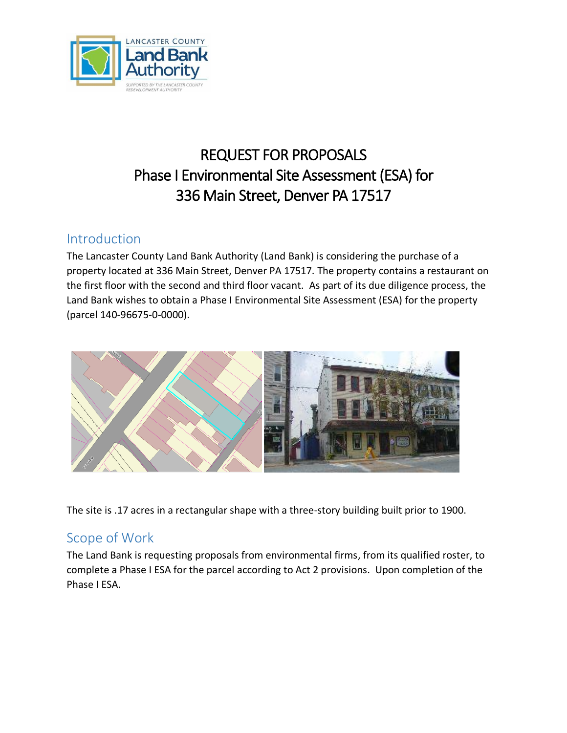

# REQUEST FOR PROPOSALS Phase I Environmental Site Assessment (ESA) for 336 Main Street, Denver PA 17517

### Introduction

The Lancaster County Land Bank Authority (Land Bank) is considering the purchase of a property located at 336 Main Street, Denver PA 17517. The property contains a restaurant on the first floor with the second and third floor vacant. As part of its due diligence process, the Land Bank wishes to obtain a Phase I Environmental Site Assessment (ESA) for the property (parcel 140-96675-0-0000).



The site is .17 acres in a rectangular shape with a three-story building built prior to 1900.

# Scope of Work

The Land Bank is requesting proposals from environmental firms, from its qualified roster, to complete a Phase I ESA for the parcel according to Act 2 provisions. Upon completion of the Phase I ESA.